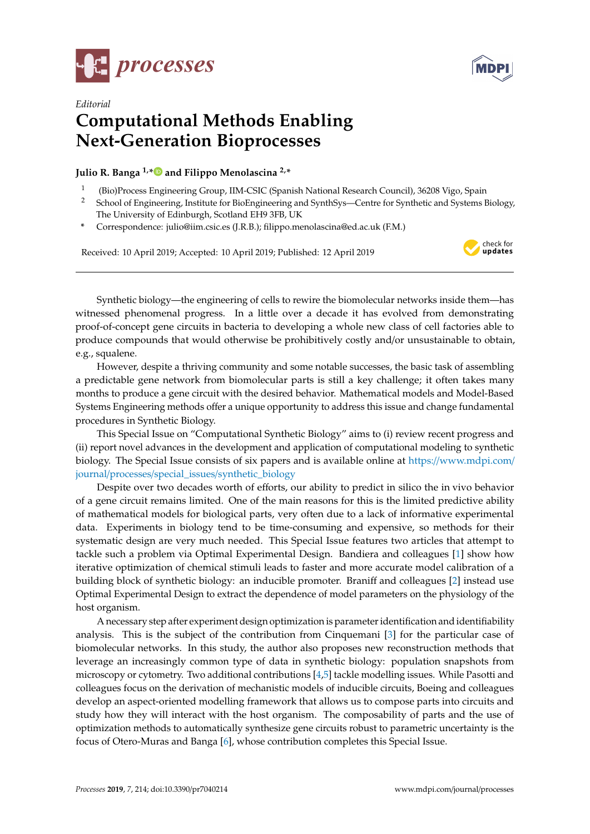



## *Editorial* **Computational Methods Enabling Next-Generation Bioprocesses**

**Julio R. Banga 1,[\\*](https://orcid.org/0000-0002-4245-0320) and Filippo Menolascina 2,\***

- 1 (Bio)Process Engineering Group, IIM-CSIC (Spanish National Research Council), 36208 Vigo, Spain
- <sup>2</sup> School of Engineering, Institute for BioEngineering and SynthSys—Centre for Synthetic and Systems Biology, The University of Edinburgh, Scotland EH9 3FB, UK
- **\*** Correspondence: julio@iim.csic.es (J.R.B.); filippo.menolascina@ed.ac.uk (F.M.)

Received: 10 April 2019; Accepted: 10 April 2019; Published: 12 April 2019



Synthetic biology—the engineering of cells to rewire the biomolecular networks inside them—has witnessed phenomenal progress. In a little over a decade it has evolved from demonstrating proof-of-concept gene circuits in bacteria to developing a whole new class of cell factories able to produce compounds that would otherwise be prohibitively costly and/or unsustainable to obtain, e.g., squalene.

However, despite a thriving community and some notable successes, the basic task of assembling a predictable gene network from biomolecular parts is still a key challenge; it often takes many months to produce a gene circuit with the desired behavior. Mathematical models and Model-Based Systems Engineering methods offer a unique opportunity to address this issue and change fundamental procedures in Synthetic Biology.

This Special Issue on "Computational Synthetic Biology" aims to (i) review recent progress and (ii) report novel advances in the development and application of computational modeling to synthetic biology. The Special Issue consists of six papers and is available online at https://[www.mdpi.com](https://www.mdpi.com/journal/processes/special_issues/synthetic_biology)/ journal/processes/special\_issues/[synthetic\\_biology](https://www.mdpi.com/journal/processes/special_issues/synthetic_biology)

Despite over two decades worth of efforts, our ability to predict in silico the in vivo behavior of a gene circuit remains limited. One of the main reasons for this is the limited predictive ability of mathematical models for biological parts, very often due to a lack of informative experimental data. Experiments in biology tend to be time-consuming and expensive, so methods for their systematic design are very much needed. This Special Issue features two articles that attempt to tackle such a problem via Optimal Experimental Design. Bandiera and colleagues [\[1\]](#page-1-0) show how iterative optimization of chemical stimuli leads to faster and more accurate model calibration of a building block of synthetic biology: an inducible promoter. Braniff and colleagues [\[2\]](#page-1-1) instead use Optimal Experimental Design to extract the dependence of model parameters on the physiology of the host organism.

A necessary step after experiment design optimization is parameter identification and identifiability analysis. This is the subject of the contribution from Cinquemani [\[3\]](#page-1-2) for the particular case of biomolecular networks. In this study, the author also proposes new reconstruction methods that leverage an increasingly common type of data in synthetic biology: population snapshots from microscopy or cytometry. Two additional contributions [\[4,](#page-1-3)[5\]](#page-1-4) tackle modelling issues. While Pasotti and colleagues focus on the derivation of mechanistic models of inducible circuits, Boeing and colleagues develop an aspect-oriented modelling framework that allows us to compose parts into circuits and study how they will interact with the host organism. The composability of parts and the use of optimization methods to automatically synthesize gene circuits robust to parametric uncertainty is the focus of Otero-Muras and Banga [\[6\]](#page-1-5), whose contribution completes this Special Issue.